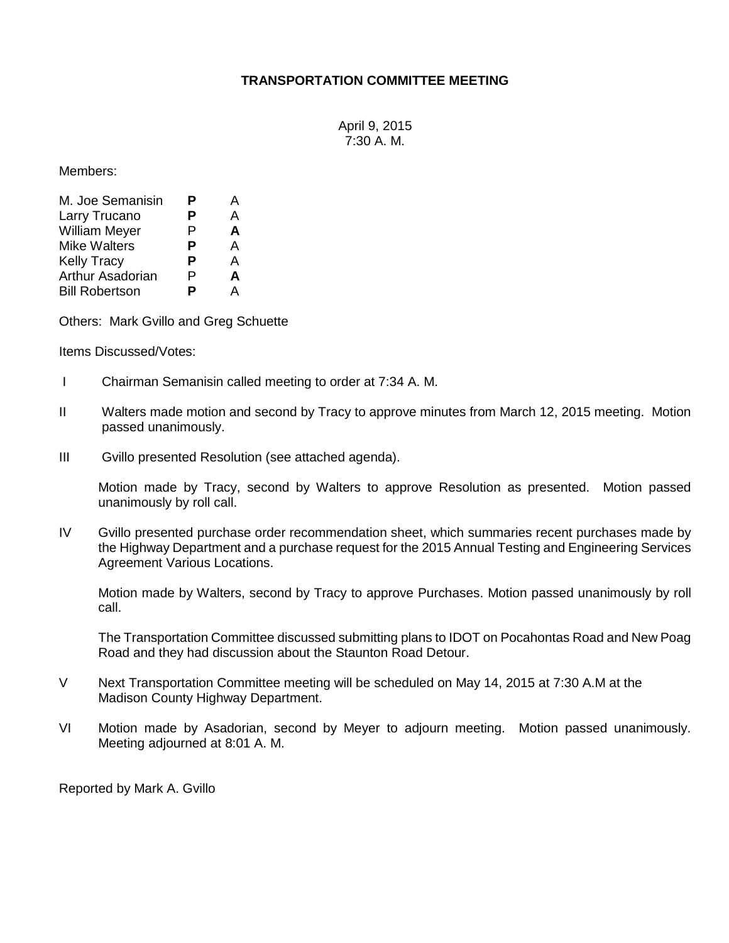## **TRANSPORTATION COMMITTEE MEETING**

April 9, 2015 7:30 A. M.

Members:

| M. Joe Semanisin      | Р | А |
|-----------------------|---|---|
| Larry Trucano         | Р | А |
| <b>William Meyer</b>  | P | A |
| <b>Mike Walters</b>   | Р | A |
| <b>Kelly Tracy</b>    | Р | A |
| Arthur Asadorian      | P | A |
| <b>Bill Robertson</b> | P | А |

Others: Mark Gvillo and Greg Schuette

Items Discussed/Votes:

- I Chairman Semanisin called meeting to order at 7:34 A. M.
- II Walters made motion and second by Tracy to approve minutes from March 12, 2015 meeting. Motion passed unanimously.
- III Gvillo presented Resolution (see attached agenda).

Motion made by Tracy, second by Walters to approve Resolution as presented. Motion passed unanimously by roll call.

IV Gvillo presented purchase order recommendation sheet, which summaries recent purchases made by the Highway Department and a purchase request for the 2015 Annual Testing and Engineering Services Agreement Various Locations.

Motion made by Walters, second by Tracy to approve Purchases. Motion passed unanimously by roll call.

The Transportation Committee discussed submitting plans to IDOT on Pocahontas Road and New Poag Road and they had discussion about the Staunton Road Detour.

- V Next Transportation Committee meeting will be scheduled on May 14, 2015 at 7:30 A.M at the Madison County Highway Department.
- VI Motion made by Asadorian, second by Meyer to adjourn meeting. Motion passed unanimously. Meeting adjourned at 8:01 A. M.

Reported by Mark A. Gvillo